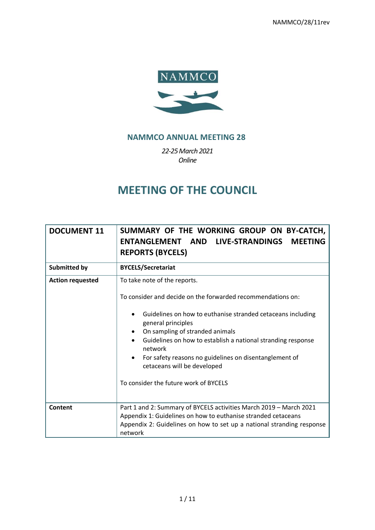NAMMCO/28/11rev



# **NAMMCO ANNUAL MEETING 28**

*22-25March 2021 Online*

# **MEETING OF THE COUNCIL**

| <b>DOCUMENT 11</b>      | SUMMARY OF THE WORKING GROUP ON BY-CATCH,<br>ENTANGLEMENT AND LIVE-STRANDINGS<br><b>MEETING</b><br><b>REPORTS (BYCELS)</b>                                                                                                                                                                                                                                                                                                                                 |
|-------------------------|------------------------------------------------------------------------------------------------------------------------------------------------------------------------------------------------------------------------------------------------------------------------------------------------------------------------------------------------------------------------------------------------------------------------------------------------------------|
| <b>Submitted by</b>     | <b>BYCELS/Secretariat</b>                                                                                                                                                                                                                                                                                                                                                                                                                                  |
| <b>Action requested</b> | To take note of the reports.<br>To consider and decide on the forwarded recommendations on:<br>Guidelines on how to euthanise stranded cetaceans including<br>general principles<br>On sampling of stranded animals<br>Guidelines on how to establish a national stranding response<br>$\bullet$<br>network<br>For safety reasons no guidelines on disentanglement of<br>$\bullet$<br>cetaceans will be developed<br>To consider the future work of BYCELS |
| Content                 | Part 1 and 2: Summary of BYCELS activities March 2019 - March 2021<br>Appendix 1: Guidelines on how to euthanise stranded cetaceans<br>Appendix 2: Guidelines on how to set up a national stranding response<br>network                                                                                                                                                                                                                                    |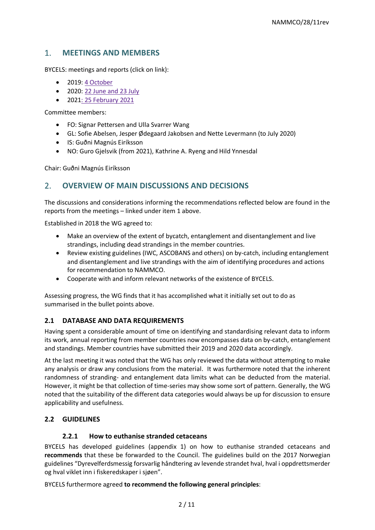# 1. **MEETINGS AND MEMBERS**

BYCELS: meetings and reports (click on link):

- 2019: [4 October](https://nammco.no/wp-content/uploads/2018/08/report-bycels-2019-01.pdf)
- 2020: [22 June and 23 July](https://nammco.no/wp-content/uploads/2018/08/report_bycels-june-july-2020-.pdf)
- 2021: [25 February 2021](https://nammco.no/wp-content/uploads/2018/08/report_bycels-february-2021-1.pdf)

Committee members:

- FO: Signar Pettersen and Ulla Svarrer Wang
- GL: Sofie Abelsen, Jesper Ødegaard Jakobsen and Nette Levermann (to July 2020)
- IS: Guðni Magnús Eiríksson
- NO: Guro Gjelsvik (from 2021), Kathrine A. Ryeng and Hild Ynnesdal

Chair: Guðni Magnús Eiríksson

# 2. **OVERVIEW OF MAIN DISCUSSIONS AND DECISIONS**

The discussions and considerations informing the recommendations reflected below are found in the reports from the meetings – linked under item 1 above.

Established in 2018 the WG agreed to:

- Make an overview of the extent of bycatch, entanglement and disentanglement and live strandings, including dead strandings in the member countries.
- Review existing guidelines (IWC, ASCOBANS and others) on by-catch, including entanglement and disentanglement and live strandings with the aim of identifying procedures and actions for recommendation to NAMMCO.
- Cooperate with and inform relevant networks of the existence of BYCELS.

Assessing progress, the WG finds that it has accomplished what it initially set out to do as summarised in the bullet points above.

## **2.1 DATABASE AND DATA REQUIREMENTS**

Having spent a considerable amount of time on identifying and standardising relevant data to inform its work, annual reporting from member countries now encompasses data on by-catch, entanglement and standings. Member countries have submitted their 2019 and 2020 data accordingly.

At the last meeting it was noted that the WG has only reviewed the data without attempting to make any analysis or draw any conclusions from the material. It was furthermore noted that the inherent randomness of stranding- and entanglement data limits what can be deducted from the material. However, it might be that collection of time-series may show some sort of pattern. Generally, the WG noted that the suitability of the different data categories would always be up for discussion to ensure applicability and usefulness.

## **2.2 GUIDELINES**

#### **2.2.1 How to euthanise stranded cetaceans**

BYCELS has developed guidelines (appendix 1) on how to euthanise stranded cetaceans and **recommends** that these be forwarded to the Council. The guidelines build on the 2017 Norwegian guidelines "Dyrevelferdsmessig forsvarlig håndtering av levende strandet hval, hval i oppdrettsmerder og hval viklet inn i fiskeredskaper i sjøen".

BYCELS furthermore agreed **to recommend the following general principles**: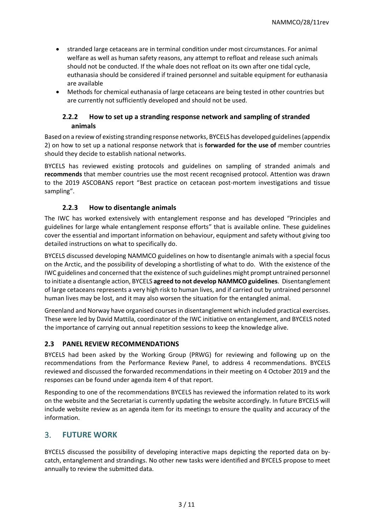- stranded large cetaceans are in terminal condition under most circumstances. For animal welfare as well as human safety reasons, any attempt to refloat and release such animals should not be conducted. If the whale does not refloat on its own after one tidal cycle, euthanasia should be considered if trained personnel and suitable equipment for euthanasia are available
- Methods for chemical euthanasia of large cetaceans are being tested in other countries but are currently not sufficiently developed and should not be used.

#### **2.2.2 How to set up a stranding response network and sampling of stranded animals**

Based on a review of existing stranding response networks, BYCELS has developed guidelines (appendix 2) on how to set up a national response network that is **forwarded for the use of** member countries should they decide to establish national networks.

BYCELS has reviewed existing protocols and guidelines on sampling of stranded animals and **recommends** that member countries use the most recent recognised protocol. Attention was drawn to the 2019 ASCOBANS report "Best practice on cetacean post-mortem investigations and tissue sampling".

### **2.2.3 How to disentangle animals**

The IWC has worked extensively with entanglement response and has developed "Principles and guidelines for large whale entanglement response efforts" that is available online. These guidelines cover the essential and important information on behaviour, equipment and safety without giving too detailed instructions on what to specifically do.

BYCELS discussed developing NAMMCO guidelines on how to disentangle animals with a special focus on the Arctic, and the possibility of developing a shortlisting of what to do. With the existence of the IWC guidelines and concerned that the existence of such guidelines might prompt untrained personnel to initiate a disentangle action, BYCELS **agreed to not develop NAMMCO guidelines**. Disentanglement of large cetaceans represents a very high risk to human lives, and if carried out by untrained personnel human lives may be lost, and it may also worsen the situation for the entangled animal.

Greenland and Norway have organised courses in disentanglement which included practical exercises. These were led by David Mattila, coordinator of the IWC initiative on entanglement, and BYCELS noted the importance of carrying out annual repetition sessions to keep the knowledge alive.

#### **2.3 PANEL REVIEW RECOMMENDATIONS**

BYCELS had been asked by the Working Group (PRWG) for reviewing and following up on the recommendations from the Performance Review Panel, to address 4 recommendations. BYCELS reviewed and discussed the forwarded recommendations in their meeting on 4 October 2019 and the responses can be found under agenda item 4 of that report.

Responding to one of the recommendations BYCELS has reviewed the information related to its work on the website and the Secretariat is currently updating the website accordingly. In future BYCELS will include website review as an agenda item for its meetings to ensure the quality and accuracy of the information.

## 3. **FUTURE WORK**

BYCELS discussed the possibility of developing interactive maps depicting the reported data on bycatch, entanglement and strandings. No other new tasks were identified and BYCELS propose to meet annually to review the submitted data.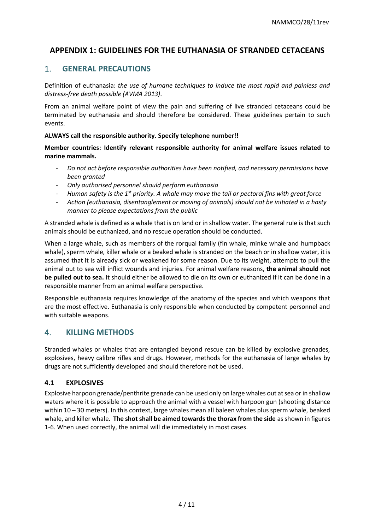# **APPENDIX 1: GUIDELINES FOR THE EUTHANASIA OF STRANDED CETACEANS**

# 1. **GENERAL PRECAUTIONS**

Definition of euthanasia: *the use of humane techniques to induce the most rapid and painless and distress-free death possible (AVMA 2013)*.

From an animal welfare point of view the pain and suffering of live stranded cetaceans could be terminated by euthanasia and should therefore be considered. These guidelines pertain to such events.

#### **ALWAYS call the responsible authority. Specify telephone number!!**

**Member countries: Identify relevant responsible authority for animal welfare issues related to marine mammals.**

- *Do not act before responsible authorities have been notified, and necessary permissions have been granted*
- *Only authorised personnel should perform euthanasia*
- *Human safety is the 1st priority. A whale may move the tail or pectoral fins with great force*
- *Action (euthanasia, disentanglement or moving of animals) should not be initiated in a hasty manner to please expectations from the public*

A stranded whale is defined as a whale that is on land or in shallow water. The general rule is that such animals should be euthanized, and no rescue operation should be conducted.

When a large whale, such as members of the rorqual family (fin whale, minke whale and humpback whale), sperm whale, killer whale or a beaked whale is stranded on the beach or in shallow water, it is assumed that it is already sick or weakened for some reason. Due to its weight, attempts to pull the animal out to sea will inflict wounds and injuries. For animal welfare reasons, **the animal should not be pulled out to sea.** It should either be allowed to die on its own or euthanized if it can be done in a responsible manner from an animal welfare perspective.

Responsible euthanasia requires knowledge of the anatomy of the species and which weapons that are the most effective. Euthanasia is only responsible when conducted by competent personnel and with suitable weapons.

## 4. **KILLING METHODS**

Stranded whales or whales that are entangled beyond rescue can be killed by explosive grenades, explosives, heavy calibre rifles and drugs. However, methods for the euthanasia of large whales by drugs are not sufficiently developed and should therefore not be used.

#### **4.1 EXPLOSIVES**

Explosive harpoon grenade/penthrite grenade can be used only on large whales out at sea or in shallow waters where it is possible to approach the animal with a vessel with harpoon gun (shooting distance within 10 – 30 meters). In this context, large whales mean all baleen whales plus sperm whale, beaked whale, and killer whale. **The shot shall be aimed towards the thorax from the side** as shown in figures 1-6. When used correctly, the animal will die immediately in most cases.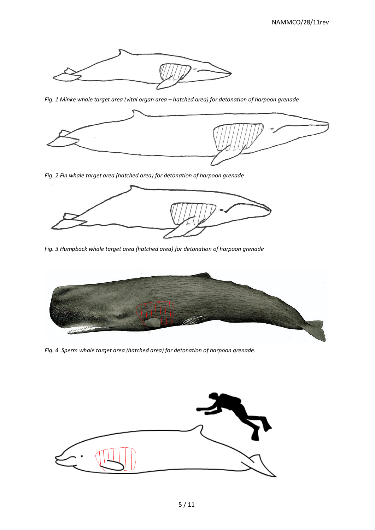

*Fig. 1 Minke whale target area (vital organ area – hatched area) for detonation of harpoon grenade*



*Fig. 2 Fin whale target area (hatched area) for detonation of harpoon grenade*



*Fig. 3 Humpback whale target area (hatched area) for detonation of harpoon grenade*



*Fig. 4. Sperm whale target area (hatched area) for detonation of harpoon grenade.*

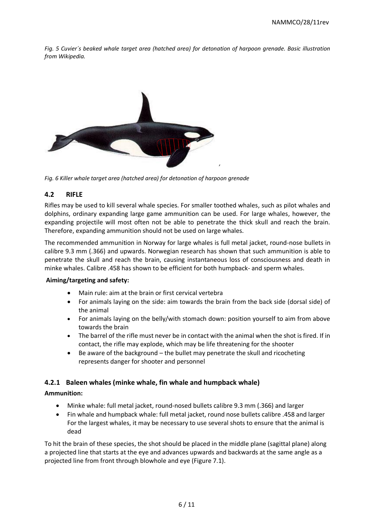*Fig. 5 Cuvier´s beaked whale target area (hatched area) for detonation of harpoon grenade. Basic illustration from Wikipedia.*



*Fig. 6 Killer whale target area (hatched area) for detonation of harpoon grenade*

### **4.2 RIFLE**

Rifles may be used to kill several whale species. For smaller toothed whales, such as pilot whales and dolphins, ordinary expanding large game ammunition can be used. For large whales, however, the expanding projectile will most often not be able to penetrate the thick skull and reach the brain. Therefore, expanding ammunition should not be used on large whales.

The recommended ammunition in Norway for large whales is full metal jacket, round-nose bullets in calibre 9.3 mm (.366) and upwards. Norwegian research has shown that such ammunition is able to penetrate the skull and reach the brain, causing instantaneous loss of consciousness and death in minke whales. Calibre .458 has shown to be efficient for both humpback- and sperm whales.

#### **Aiming/targeting and safety:**

- Main rule: aim at the brain or first cervical vertebra
- For animals laying on the side: aim towards the brain from the back side (dorsal side) of the animal
- For animals laying on the belly/with stomach down: position yourself to aim from above towards the brain
- The barrel of the rifle must never be in contact with the animal when the shot is fired. If in contact, the rifle may explode, which may be life threatening for the shooter
- Be aware of the background the bullet may penetrate the skull and ricocheting represents danger for shooter and personnel

#### **4.2.1 Baleen whales (minke whale, fin whale and humpback whale)**

#### **Ammunition:**

- Minke whale: full metal jacket, round-nosed bullets calibre 9.3 mm (.366) and larger
- Fin whale and humpback whale: full metal jacket, round nose bullets calibre .458 and larger For the largest whales, it may be necessary to use several shots to ensure that the animal is dead

To hit the brain of these species, the shot should be placed in the middle plane (sagittal plane) along a projected line that starts at the eye and advances upwards and backwards at the same angle as a projected line from front through blowhole and eye (Figure 7.1).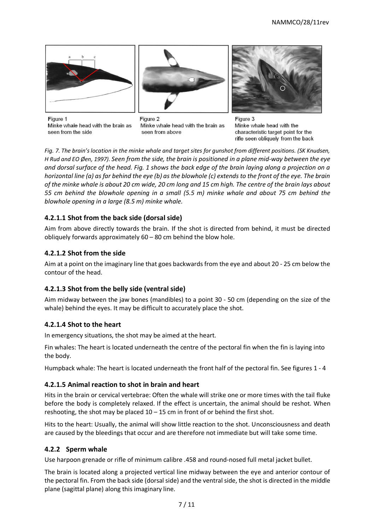





Figure 1 Minke whale head with the brain as seen from the side

Figure 2 Minke whale head with the brain as seen from above

Figure 3 Minke whale head with the characteristic target point for the rifle seen obliquely from the back

*Fig. 7. The brain's location in the minke whale and target sites for gunshot from different positions. (SK Knudsen, H Rud and EO Øen, 1997). Seen from the side, the brain is positioned in a plane mid-way between the eye and dorsal surface of the head. Fig. 1 shows the back edge of the brain laying along a projection on a horizontal line (a) as far behind the eye (b) as the blowhole (c) extends to the front of the eye. The brain of the minke whale is about 20 cm wide, 20 cm long and 15 cm high. The centre of the brain lays about 55 cm behind the blowhole opening in a small (5.5 m) minke whale and about 75 cm behind the blowhole opening in a large (8.5 m) minke whale.*

# **4.2.1.1 Shot from the back side (dorsal side)**

Aim from above directly towards the brain. If the shot is directed from behind, it must be directed obliquely forwards approximately 60 – 80 cm behind the blow hole.

## **4.2.1.2 Shot from the side**

Aim at a point on the imaginary line that goes backwards from the eye and about 20 - 25 cm below the contour of the head.

## **4.2.1.3 Shot from the belly side (ventral side)**

Aim midway between the jaw bones (mandibles) to a point 30 - 50 cm (depending on the size of the whale) behind the eyes. It may be difficult to accurately place the shot.

## **4.2.1.4 Shot to the heart**

In emergency situations, the shot may be aimed at the heart.

Fin whales: The heart is located underneath the centre of the pectoral fin when the fin is laying into the body.

Humpback whale: The heart is located underneath the front half of the pectoral fin. See figures 1 - 4

#### **4.2.1.5 Animal reaction to shot in brain and heart**

Hits in the brain or cervical vertebrae: Often the whale will strike one or more times with the tail fluke before the body is completely relaxed. If the effect is uncertain, the animal should be reshot. When reshooting, the shot may be placed  $10 - 15$  cm in front of or behind the first shot.

Hits to the heart: Usually, the animal will show little reaction to the shot. Unconsciousness and death are caused by the bleedings that occur and are therefore not immediate but will take some time.

#### **4.2.2 Sperm whale**

Use harpoon grenade or rifle of minimum calibre .458 and round-nosed full metal jacket bullet.

The brain is located along a projected vertical line midway between the eye and anterior contour of the pectoral fin. From the back side (dorsal side) and the ventral side, the shot is directed in the middle plane (sagittal plane) along this imaginary line.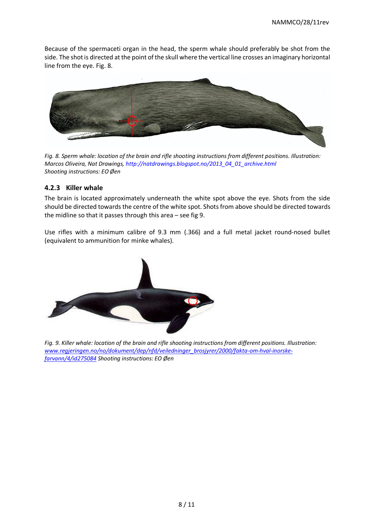Because of the spermaceti organ in the head, the sperm whale should preferably be shot from the side. The shot is directed at the point of the skull where the vertical line crosses an imaginary horizontal line from the eye. Fig. 8.



*Fig. 8. Sperm whale: location of the brain and rifle shooting instructions from different positions. Illustration: Marcos Oliveira, Nat Drawings, http://natdrawings.blogspot.no/2013\_04\_01\_archive.html Shooting instructions: EO Øen*

#### **4.2.3 Killer whale**

The brain is located approximately underneath the white spot above the eye. Shots from the side should be directed towards the centre of the white spot. Shots from above should be directed towards the midline so that it passes through this area – see fig 9.

Use rifles with a minimum calibre of 9.3 mm (.366) and a full metal jacket round-nosed bullet (equivalent to ammunition for minke whales).



*Fig. 9. Killer whale: location of the brain and rifle shooting instructions from different positions. Illustration: [www.regjeringen.no/no/dokument/dep/nfd/veiledninger\\_brosjyrer/2000/fakta-om-hval-inorske](http://www.regjeringen.no/no/dokument/dep/nfd/veiledninger_brosjyrer/2000/fakta-om-hval-inorske-farvann/4/id275084)[farvann/4/id275084](http://www.regjeringen.no/no/dokument/dep/nfd/veiledninger_brosjyrer/2000/fakta-om-hval-inorske-farvann/4/id275084) Shooting instructions: EO Øen*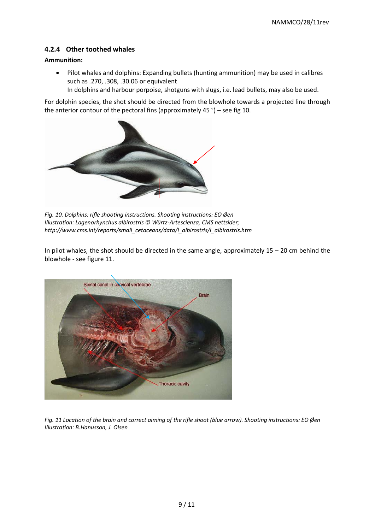#### **4.2.4 Other toothed whales**

#### **Ammunition:**

• Pilot whales and dolphins: Expanding bullets (hunting ammunition) may be used in calibres such as .270, .308, .30.06 or equivalent

In dolphins and harbour porpoise, shotguns with slugs, i.e. lead bullets, may also be used.

For dolphin species, the shot should be directed from the blowhole towards a projected line through the anterior contour of the pectoral fins (approximately 45 °) – see fig 10.



*Fig. 10. Dolphins: rifle shooting instructions. Shooting instructions: EO Øen Illustration: Lagenorhynchus albirostris © Würtz-Artescienza, CMS nettsider; http://www.cms.int/reports/small\_cetaceans/data/l\_albirostris/l\_albirostris.htm* 

In pilot whales, the shot should be directed in the same angle, approximately  $15 - 20$  cm behind the blowhole - see figure 11.



*Fig. 11 Location of the brain and correct aiming of the rifle shoot (blue arrow). Shooting instructions: EO Øen Illustration: B.Hanusson, J. Olsen*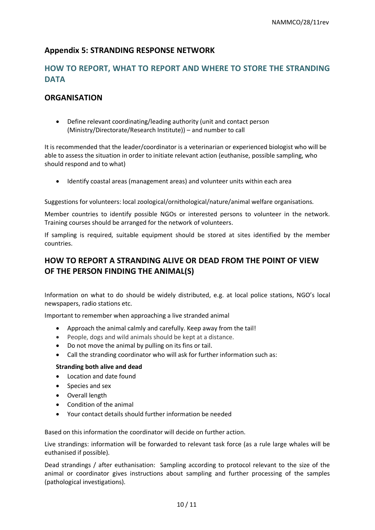# **Appendix 5: STRANDING RESPONSE NETWORK**

# **HOW TO REPORT, WHAT TO REPORT AND WHERE TO STORE THE STRANDING DATA**

# **ORGANISATION**

• Define relevant coordinating/leading authority (unit and contact person (Ministry/Directorate/Research Institute)) – and number to call

It is recommended that the leader/coordinator is a veterinarian or experienced biologist who will be able to assess the situation in order to initiate relevant action (euthanise, possible sampling, who should respond and to what)

• Identify coastal areas (management areas) and volunteer units within each area

Suggestions for volunteers: local zoological/ornithological/nature/animal welfare organisations.

Member countries to identify possible NGOs or interested persons to volunteer in the network. Training courses should be arranged for the network of volunteers.

If sampling is required, suitable equipment should be stored at sites identified by the member countries.

# **HOW TO REPORT A STRANDING ALIVE OR DEAD FROM THE POINT OF VIEW OF THE PERSON FINDING THE ANIMAL(S)**

Information on what to do should be widely distributed, e.g. at local police stations, NGO's local newspapers, radio stations etc.

Important to remember when approaching a live stranded animal

- Approach the animal calmly and carefully. Keep away from the tail!
- People, dogs and wild animals should be kept at a distance.
- Do not move the animal by pulling on its fins or tail.
- Call the stranding coordinator who will ask for further information such as:

#### **Stranding both alive and dead**

- Location and date found
- Species and sex
- Overall length
- Condition of the animal
- Your contact details should further information be needed

Based on this information the coordinator will decide on further action.

Live strandings: information will be forwarded to relevant task force (as a rule large whales will be euthanised if possible).

Dead strandings / after euthanisation: Sampling according to protocol relevant to the size of the animal or coordinator gives instructions about sampling and further processing of the samples (pathological investigations).